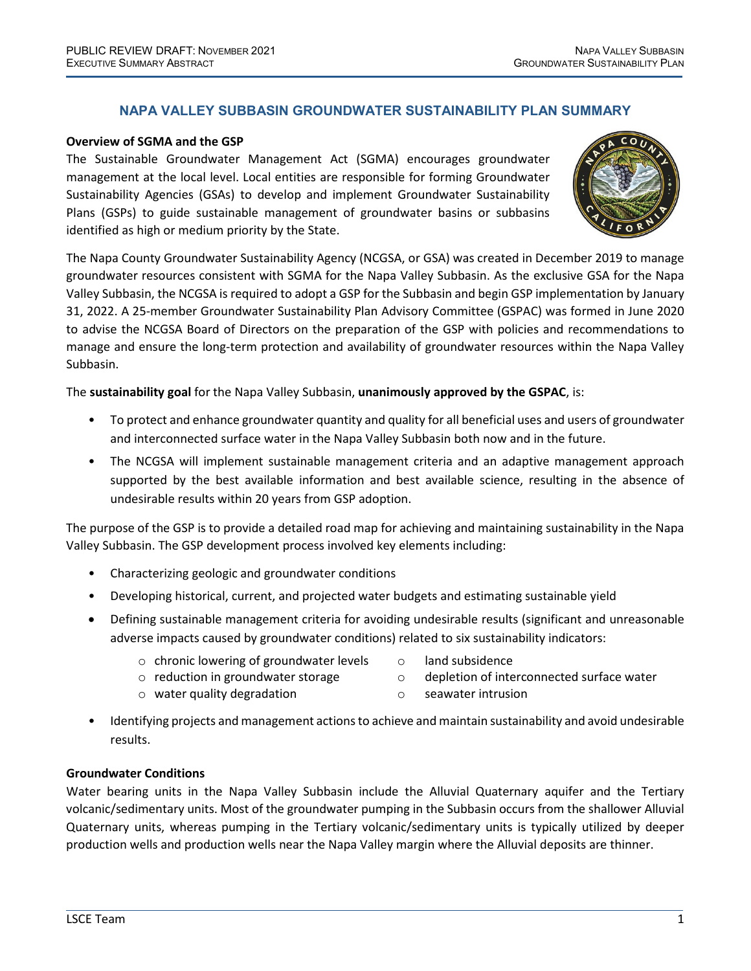# **NAPA VALLEY SUBBASIN GROUNDWATER SUSTAINABILITY PLAN SUMMARY**

### **Overview of SGMA and the GSP**

The Sustainable Groundwater Management Act (SGMA) encourages groundwater management at the local level. Local entities are responsible for forming Groundwater Sustainability Agencies (GSAs) to develop and implement Groundwater Sustainability Plans (GSPs) to guide sustainable management of groundwater basins or subbasins identified as high or medium priority by the State.



The Napa County Groundwater Sustainability Agency (NCGSA, or GSA) was created in December 2019 to manage groundwater resources consistent with SGMA for the Napa Valley Subbasin. As the exclusive GSA for the Napa Valley Subbasin, the NCGSA is required to adopt a GSP for the Subbasin and begin GSP implementation by January 31, 2022. A 25-member Groundwater Sustainability Plan Advisory Committee (GSPAC) was formed in June 2020 to advise the NCGSA Board of Directors on the preparation of the GSP with policies and recommendations to manage and ensure the long-term protection and availability of groundwater resources within the Napa Valley Subbasin.

The **sustainability goal** for the Napa Valley Subbasin, **unanimously approved by the GSPAC**, is:

- To protect and enhance groundwater quantity and quality for all beneficial uses and users of groundwater and interconnected surface water in the Napa Valley Subbasin both now and in the future.
- The NCGSA will implement sustainable management criteria and an adaptive management approach supported by the best available information and best available science, resulting in the absence of undesirable results within 20 years from GSP adoption.

The purpose of the GSP is to provide a detailed road map for achieving and maintaining sustainability in the Napa Valley Subbasin. The GSP development process involved key elements including:

- Characterizing geologic and groundwater conditions
- Developing historical, current, and projected water budgets and estimating sustainable yield
- Defining sustainable management criteria for avoiding undesirable results (significant and unreasonable adverse impacts caused by groundwater conditions) related to six sustainability indicators:
	- o chronic lowering of groundwater levels
- o land subsidence
- o reduction in groundwater storage
- o depletion of interconnected surface water
- o water quality degradation
- o seawater intrusion
- Identifying projects and management actions to achieve and maintain sustainability and avoid undesirable results.

#### **Groundwater Conditions**

Water bearing units in the Napa Valley Subbasin include the Alluvial Quaternary aquifer and the Tertiary volcanic/sedimentary units. Most of the groundwater pumping in the Subbasin occurs from the shallower Alluvial Quaternary units, whereas pumping in the Tertiary volcanic/sedimentary units is typically utilized by deeper production wells and production wells near the Napa Valley margin where the Alluvial deposits are thinner.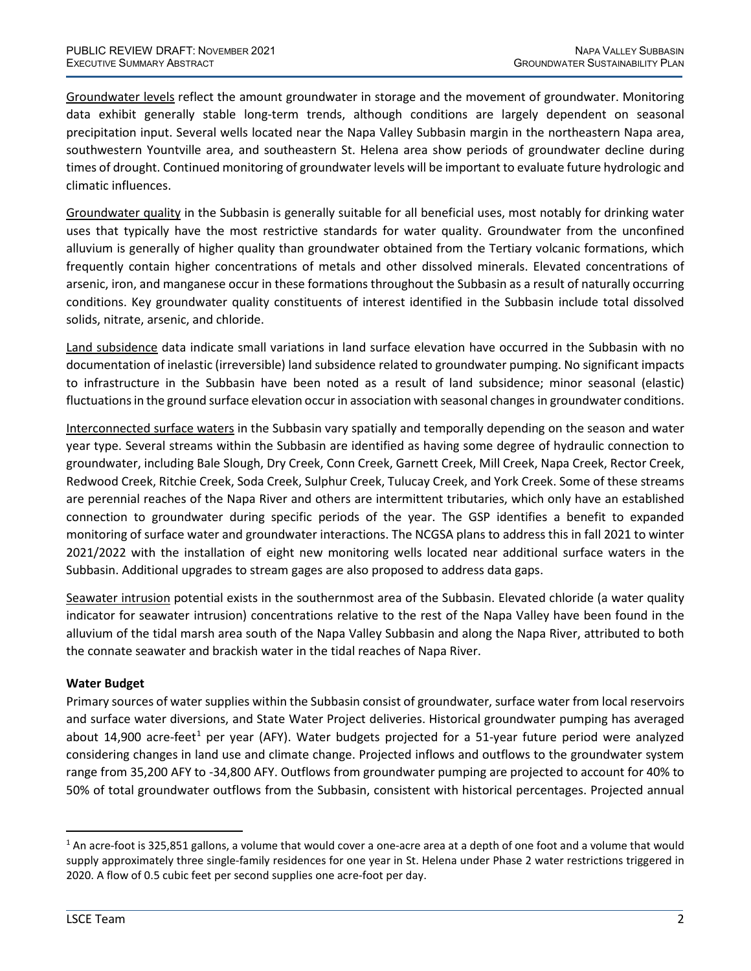Groundwater levels reflect the amount groundwater in storage and the movement of groundwater. Monitoring data exhibit generally stable long-term trends, although conditions are largely dependent on seasonal precipitation input. Several wells located near the Napa Valley Subbasin margin in the northeastern Napa area, southwestern Yountville area, and southeastern St. Helena area show periods of groundwater decline during times of drought. Continued monitoring of groundwater levels will be important to evaluate future hydrologic and climatic influences.

Groundwater quality in the Subbasin is generally suitable for all beneficial uses, most notably for drinking water uses that typically have the most restrictive standards for water quality. Groundwater from the unconfined alluvium is generally of higher quality than groundwater obtained from the Tertiary volcanic formations, which frequently contain higher concentrations of metals and other dissolved minerals. Elevated concentrations of arsenic, iron, and manganese occur in these formations throughout the Subbasin as a result of naturally occurring conditions. Key groundwater quality constituents of interest identified in the Subbasin include total dissolved solids, nitrate, arsenic, and chloride.

Land subsidence data indicate small variations in land surface elevation have occurred in the Subbasin with no documentation of inelastic (irreversible) land subsidence related to groundwater pumping. No significant impacts to infrastructure in the Subbasin have been noted as a result of land subsidence; minor seasonal (elastic) fluctuations in the ground surface elevation occur in association with seasonal changes in groundwater conditions.

Interconnected surface waters in the Subbasin vary spatially and temporally depending on the season and water year type. Several streams within the Subbasin are identified as having some degree of hydraulic connection to groundwater, including Bale Slough, Dry Creek, Conn Creek, Garnett Creek, Mill Creek, Napa Creek, Rector Creek, Redwood Creek, Ritchie Creek, Soda Creek, Sulphur Creek, Tulucay Creek, and York Creek. Some of these streams are perennial reaches of the Napa River and others are intermittent tributaries, which only have an established connection to groundwater during specific periods of the year. The GSP identifies a benefit to expanded monitoring of surface water and groundwater interactions. The NCGSA plans to address this in fall 2021 to winter 2021/2022 with the installation of eight new monitoring wells located near additional surface waters in the Subbasin. Additional upgrades to stream gages are also proposed to address data gaps.

Seawater intrusion potential exists in the southernmost area of the Subbasin. Elevated chloride (a water quality indicator for seawater intrusion) concentrations relative to the rest of the Napa Valley have been found in the alluvium of the tidal marsh area south of the Napa Valley Subbasin and along the Napa River, attributed to both the connate seawater and brackish water in the tidal reaches of Napa River.

# **Water Budget**

Primary sources of water supplies within the Subbasin consist of groundwater, surface water from local reservoirs and surface water diversions, and State Water Project deliveries. Historical groundwater pumping has averaged about 14,900 acre-feet<sup>1</sup> per year (AFY). Water budgets projected for a 51-year future period were analyzed considering changes in land use and climate change. Projected inflows and outflows to the groundwater system range from 35,200 AFY to -34,800 AFY. Outflows from groundwater pumping are projected to account for 40% to 50% of total groundwater outflows from the Subbasin, consistent with historical percentages. Projected annual

<span id="page-1-0"></span> $1$  An acre-foot is 325,851 gallons, a volume that would cover a one-acre area at a depth of one foot and a volume that would supply approximately three single-family residences for one year in St. Helena under Phase 2 water restrictions triggered in 2020. A flow of 0.5 cubic feet per second supplies one acre-foot per day.